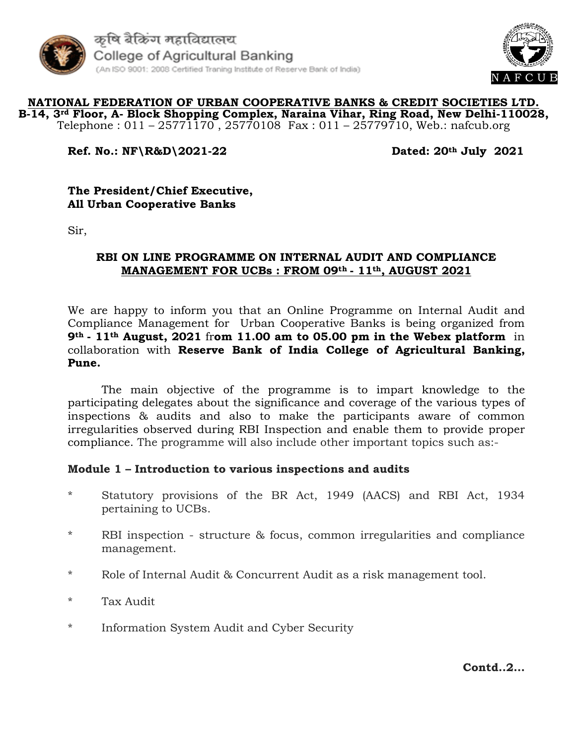



#### **NATIONAL FEDERATION OF URBAN COOPERATIVE BANKS & CREDIT SOCIETIES LTD. B-14, 3rd Floor, A- Block Shopping Complex, Naraina Vihar, Ring Road, New Delhi-110028,** Telephone : 011 – 25771170, 25770108 Fax : 011 – 25779710, Web.: nafcub.org

## **Ref. No.: NF\R&D\2021-22 Dated: 20th July 2021**

#### **The President/Chief Executive, All Urban Cooperative Banks**

Sir,

#### **RBI ON LINE PROGRAMME ON INTERNAL AUDIT AND COMPLIANCE MANAGEMENT FOR UCBs : FROM 09th - 11th, AUGUST 2021**

We are happy to inform you that an Online Programme on Internal Audit and Compliance Management for Urban Cooperative Banks is being organized from **9th - 11th August, 2021** fr**om 11.00 am to 05.00 pm in the Webex platform** in collaboration with **Reserve Bank of India College of Agricultural Banking, Pune.** 

The main objective of the programme is to impart knowledge to the participating delegates about the significance and coverage of the various types of inspections & audits and also to make the participants aware of common irregularities observed during RBI Inspection and enable them to provide proper compliance. The programme will also include other important topics such as:-

#### **Module 1 – Introduction to various inspections and audits**

- \* Statutory provisions of the BR Act, 1949 (AACS) and RBI Act, 1934 pertaining to UCBs.
- \* RBI inspection structure & focus, common irregularities and compliance management.
- \* Role of Internal Audit & Concurrent Audit as a risk management tool.
- \* Tax Audit
- \* Information System Audit and Cyber Security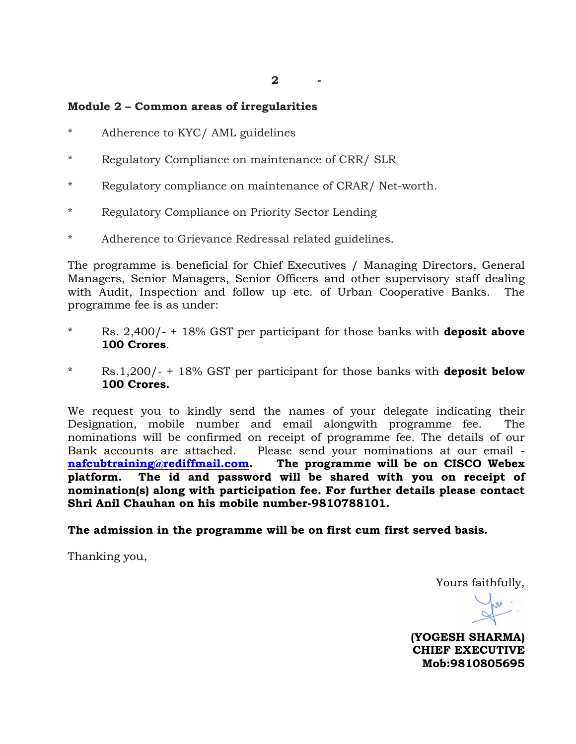**2 -**

### **Module 2 – Common areas of irregularities**

- \* Adherence to KYC/ AML guidelines
- \* Regulatory Compliance on maintenance of CRR/ SLR
- \* Regulatory compliance on maintenance of CRAR/ Net-worth.
- \* Regulatory Compliance on Priority Sector Lending
- \* Adherence to Grievance Redressal related guidelines.

The programme is beneficial for Chief Executives / Managing Directors, General Managers, Senior Managers, Senior Officers and other supervisory staff dealing with Audit, Inspection and follow up etc. of Urban Cooperative Banks. The programme fee is as under:

- \* Rs. 2,400/- + 18% GST per participant for those banks with **deposit above 100 Crores**.
- Rs.1,200/- + 18% GST per participant for those banks with **deposit below 100 Crores.**

We request you to kindly send the names of your delegate indicating their Designation, mobile number and email alongwith programme fee. The nominations will be confirmed on receipt of programme fee. The details of our Bank accounts are attached. Please send your nominations at our email **[nafcubtraining@rediffmail.com.](mailto:nafcubtraining@rediffmail.com) The programme will be on CISCO Webex platform. The id and password will be shared with you on receipt of nomination(s) along with participation fee. For further details please contact Shri Anil Chauhan on his mobile number-9810788101.** 

**The admission in the programme will be on first cum first served basis.**

Thanking you,

Yours faithfully,

**(YOGESH SHARMA) CHIEF EXECUTIVE Mob:9810805695**